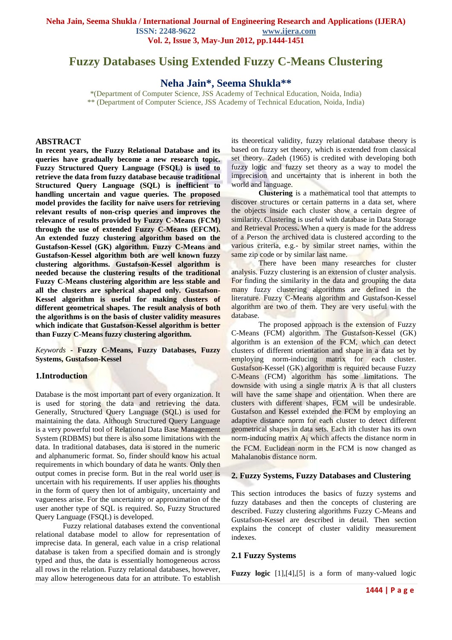# **Fuzzy Databases Using Extended Fuzzy C-Means Clustering**

**Neha Jain\*, Seema Shukla\*\***

\*(Department of Computer Science, JSS Academy of Technical Education, Noida, India) \*\* (Department of Computer Science, JSS Academy of Technical Education, Noida, India)

#### **ABSTRACT**

**In recent years, the Fuzzy Relational Database and its queries have gradually become a new research topic. Fuzzy Structured Query Language (FSQL) is used to retrieve the data from fuzzy database because traditional Structured Query Language (SQL) is inefficient to handling uncertain and vague queries. The proposed model provides the facility for naïve users for retrieving relevant results of non-crisp queries and improves the relevance of results provided by Fuzzy C-Means (FCM) through the use of extended Fuzzy C-Means (EFCM). An extended fuzzy clustering algorithm based on the Gustafson-Kessel (GK) algorithm. Fuzzy C-Means and Gustafson-Kessel algorithm both are well known fuzzy clustering algorithms. Gustafson-Kessel algorithm is needed because the clustering results of the traditional Fuzzy C-Means clustering algorithm are less stable and all the clusters are spherical shaped only. Gustafson-Kessel algorithm is useful for making clusters of different geometrical shapes. The result analysis of both the algorithms is on the basis of cluster validity measures which indicate that Gustafson-Kessel algorithm is better than Fuzzy C-Means fuzzy clustering algorithm.** 

*Keywords* **- Fuzzy C-Means, Fuzzy Databases, Fuzzy Systems, Gustafson-Kessel**

#### **1.Introduction**

Database is the most important part of every organization. It is used for storing the data and retrieving the data. Generally, Structured Query Language (SQL) is used for maintaining the data. Although Structured Query Language is a very powerful tool of Relational Data Base Management System (RDBMS) but there is also some limitations with the data. In traditional databases, data is stored in the numeric and alphanumeric format. So, finder should know his actual requirements in which boundary of data he wants. Only then output comes in precise form. But in the real world user is uncertain with his requirements. If user applies his thoughts in the form of query then lot of ambiguity, uncertainty and vagueness arise. For the uncertainty or approximation of the user another type of SQL is required. So, Fuzzy Structured Query Language (FSQL) is developed.

Fuzzy relational databases extend the conventional relational database model to allow for representation of imprecise data. In general, each value in a crisp relational database is taken from a specified domain and is strongly typed and thus, the data is essentially homogeneous across all rows in the relation. Fuzzy relational databases, however, may allow heterogeneous data for an attribute. To establish its theoretical validity, fuzzy relational database theory is based on fuzzy set theory, which is extended from classical set theory. Zadeh (1965) is credited with developing both fuzzy logic and fuzzy set theory as a way to model the imprecision and uncertainty that is inherent in both the world and language.

**Clustering** is a mathematical tool that attempts to discover structures or certain patterns in a data set, where the objects inside each cluster show a certain degree of similarity. Clustering is useful with database in Data Storage and Retrieval Process**.** When a query is made for the address of a Person the archived data is clustered according to the various criteria, e.g.- by similar street names, within the same zip code or by similar last name.

There have been many researches for cluster analysis. Fuzzy clustering is an extension of cluster analysis. For finding the similarity in the data and grouping the data many fuzzy clustering algorithms are defined in the literature. Fuzzy C-Means algorithm and Gustafson-Kessel algorithm are two of them. They are very useful with the database.

The proposed approach is the extension of Fuzzy C-Means (FCM) algorithm. The Gustafson-Kessel (GK) algorithm is an extension of the FCM, which can detect clusters of different orientation and shape in a data set by employing norm-inducing matrix for each cluster. Gustafson-Kessel (GK) algorithm is required because Fuzzy C-Means (FCM) algorithm has some limitations. The downside with using a single matrix A is that all clusters will have the same shape and orientation. When there are clusters with different shapes, FCM will be undesirable. Gustafson and Kessel extended the FCM by employing an adaptive distance norm for each cluster to detect different geometrical shapes in data sets. Each ith cluster has its own norm-inducing matrix A<sub>i</sub> which affects the distance norm in the FCM. Euclidean norm in the FCM is now changed as Mahalanobis distance norm.

#### **2. Fuzzy Systems, Fuzzy Databases and Clustering**

This section introduces the basics of fuzzy systems and fuzzy databases and then the concepts of clustering are described. Fuzzy clustering algorithms Fuzzy C-Means and Gustafson-Kessel are described in detail. Then section explains the concept of cluster validity measurement indexes.

#### **2.1 Fuzzy Systems**

**Fuzzy logic** [1],[4],[5] is a form of [many-valued logic](http://en.wikipedia.org/wiki/Many-valued_logic)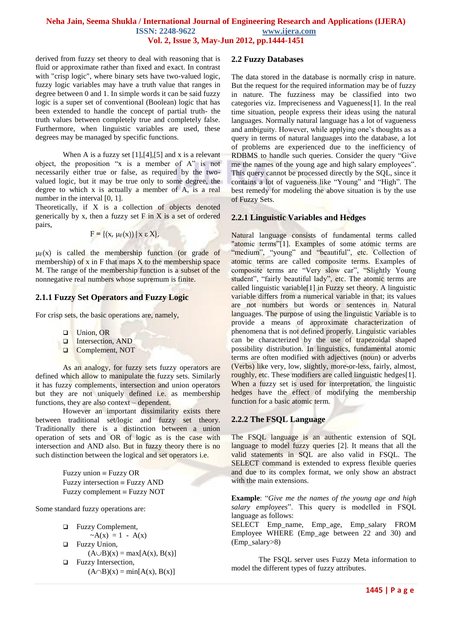derived from [fuzzy set theory](http://en.wikipedia.org/wiki/Fuzzy_set) to deal with [reasoning](http://en.wikipedia.org/wiki/Reasoning) that is fluid or approximate rather than fixed and exact. In contrast with "crisp logic", where [binary](http://en.wiktionary.org/wiki/binary) sets have [two-valued logic,](http://en.wikipedia.org/wiki/Two-valued_logic) fuzzy logic variables may have a [truth value](http://en.wikipedia.org/wiki/Truth_value) that ranges in degree between 0 and 1. In simple words it can be said fuzzy logic is a super set of conventional (Boolean) logic that has been extended to handle the concept of partial truth- the truth values between completely true and completely false. Furthermore, when [linguistic](http://en.wikipedia.org/wiki/Linguist) variables are used, these degrees may be managed by specific functions.

When A is a fuzzy set  $[1]$ , $[4]$ , $[5]$  and x is a relevant object, the proposition "x is a member of A" is not necessarily either true or false, as required by the twovalued logic, but it may be true only to some degree, the degree to which x is actually a member of A, is a real number in the interval [0, 1].

Theoretically, if X is a collection of objects denoted generically by x, then a fuzzy set  $F$  in  $X$  is a set of ordered pairs,

$$
F = \{(x, \mu_F(x)) \mid x \in X\},\
$$

 $\mu_F(x)$  is called the membership function (or grade of membership) of  $x$  in  $F$  that maps  $X$  to the membership space M. The range of the membership function is a subset of the nonnegative real numbers whose supremum is finite.

# **2.1.1 Fuzzy Set Operators and Fuzzy Logic**

For crisp sets, the basic operations are, namely,

- □ Union, OR
- Intersection, AND
- **Q** Complement, NOT

As an analogy, for fuzzy sets fuzzy operators are defined which allow to manipulate the fuzzy sets. Similarly it has fuzzy complements, intersection and union operators but they are not uniquely defined i.e. as membership functions, they are also context – dependent.

However an important dissimilarity exists there between traditional set/logic and fuzzy set theory. Traditionally there is a distinction between a union operation of sets and OR of logic as is the case with intersection and AND also. But in fuzzy theory there is no such distinction between the logical and set operators i.e.

> Fuzzy union  $\equiv$  Fuzzy OR Fuzzy intersection  $\equiv$  Fuzzy AND Fuzzy complement  $\equiv$  Fuzzy NOT

Some standard fuzzy operations are:

- **Examplement**,  $-A(x) = 1 - A(x)$ **D** Fuzzy Union,  $(A \cup B)(x) = max[A(x), B(x)]$ **EXECUTE:** Fuzzy Intersection,
	- $(A \cap B)(x) = min[A(x), B(x)]$

#### **2.2 Fuzzy Databases**

The data stored in the database is normally crisp in nature. But the request for the required information may be of fuzzy in nature. The fuzziness may be classified into two categories viz. Impreciseness and Vagueness[1]. In the real time situation, people express their ideas using the natural languages. Normally natural language has a lot of vagueness and ambiguity. However, while applying one"s thoughts as a query in terms of natural languages into the database, a lot of problems are experienced due to the inefficiency of RDBMS to handle such queries. Consider the query "Give me the names of the young age and high salary employees". This query cannot be processed directly by the SQL, since it contains a lot of vagueness like "Young" and "High". The best remedy for modeling the above situation is by the use of Fuzzy Sets.

# **2.2.1 Linguistic Variables and Hedges**

Natural language consists of fundamental terms called "atomic terms"[1]. Examples of some atomic terms are "medium", "young" and "beautiful", etc. Collection of atomic terms are called composite terms. Examples of composite terms are "Very slow car", "Slightly Young student", "fairly beautiful lady", etc. The atomic terms are called linguistic variable[1] in Fuzzy set theory. A linguistic variable differs from a numerical variable in that; its values are not numbers but words or sentences in Natural languages. The purpose of using the linguistic Variable is to provide a means of approximate characterization of phenomena that is not defined properly. Linguistic variables can be characterized by the use of trapezoidal shaped possibility distribution. In linguistics, fundamental atomic terms are often modified with adjectives (noun) or adverbs (Verbs) like very, low, slightly, more-or-less, fairly, almost, roughly, etc. These modifiers are called linguistic hedges[1]. When a fuzzy set is used for interpretation, the linguistic hedges have the effect of modifying the membership function for a basic atomic term.

# **2.2.2 The FSQL Language**

The FSQL language is an authentic extension of SQL language to model fuzzy queries [2]. It means that all the valid statements in SQL are also valid in FSQL. The SELECT command is extended to express flexible queries and due to its complex format, we only show an abstract with the main extensions.

**Example**: "*Give me the names of the young age and high salary employees*". This query is modelled in FSQL language as follows:

SELECT Emp\_name, Emp\_age, Emp\_salary FROM Employee WHERE (Emp\_age between 22 and 30) and (Emp\_salary>8)

The FSQL server uses Fuzzy Meta information to model the different types of fuzzy attributes.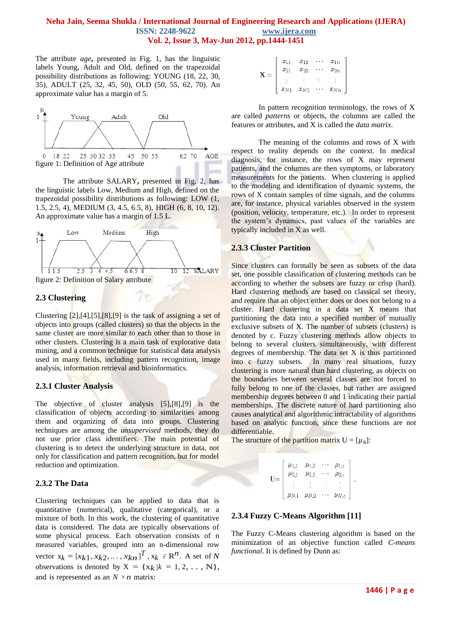The attribute *age***,** presented in Fig. 1, has the linguistic labels Young, Adult and Old, defined on the trapezoidal possibility distributions as following: YOUNG (18, 22, 30, 35), ADULT (25, 32, 45, 50), OLD (50, 55, 62, 70). An approximate value has a margin of 5.



The attribute SALARY**,** presented in Fig. 2, has the linguistic labels Low, Medium and High, defined on the trapezoidal possibility distributions as following: LOW (1, 1.5, 2.5, 4), MEDIUM (3, 4.5, 6.5, 8), HIGH (6, 8, 10, 12). An approximate value has a margin of 1.5 L.



# **2.3 Clustering**

Clustering [2],[4],[5],[8],[9] is the task of assigning a set of objects into groups (called clusters) so that the objects in the same cluster are more similar to each other than to those in other clusters. Clustering is a main task of explorative [data](http://en.wikipedia.org/wiki/Data_mining)  [mining,](http://en.wikipedia.org/wiki/Data_mining) and a common technique for [statistical](http://en.wikipedia.org/wiki/Statistics) [data analysis](http://en.wikipedia.org/wiki/Data_analysis) used in many fields, including [pattern recognition,](http://en.wikipedia.org/wiki/Pattern_recognition) [image](http://en.wikipedia.org/wiki/Image_analysis)  [analysis,](http://en.wikipedia.org/wiki/Image_analysis) [information retrieval](http://en.wikipedia.org/wiki/Information_retrieval) and [bioinformatics.](http://en.wikipedia.org/wiki/Bioinformatics)

#### **2.3.1 Cluster Analysis**

The objective of cluster analysis [5],[8],[9] is the classification of objects according to similarities among them and organizing of data into groups. Clustering techniques are among the *unsupervised* methods, they do not use prior class identifiers. The main potential of clustering is to detect the underlying structure in data, not only for classification and pattern recognition, but for model reduction and optimization.

# **2.3.2 The Data**

Clustering techniques can be applied to data that is quantitative (numerical), qualitative (categorical), or a mixture of both. In this work, the clustering of quantitative data is considered. The data are typically observations of some physical process. Each observation consists of n measured variables, grouped into an n-dimensional row vector  $x_k = [x_{k1}, x_{k2}, \dots, x_{kn}]^T$ ,  $x_k \in \mathbb{R}^n$ . A set of *N* observations is denoted by  $X = \{x_k / k = 1, 2, \ldots, N\},\$ and is represented as an  $N \times n$  matrix:

| $x_{11}$ | $x_{12}$ |          | $x_{1n}$ |
|----------|----------|----------|----------|
| $x_{21}$ | $x_{22}$ |          | $x_{2n}$ |
|          |          |          |          |
| $x_{N1}$ | $x_{N2}$ | $\cdots$ | $x_{Nn}$ |

In pattern recognition terminology, the rows of X are called *patterns* or objects, the columns are called the features or attributes, and X is called the *data matrix*.

The meaning of the columns and rows of X with respect to reality depends on the context. In medical diagnosis, for instance, the rows of X may represent patients, and the columns are then symptoms, or laboratory measurements for the patients. When clustering is applied to the modeling and identification of dynamic systems, the rows of X contain samples of time signals, and the columns are, for instance, physical variables observed in the system (position, velocity, temperature, etc.). In order to represent the system"s dynamics, past values of the variables are typically included in X as well.

# **2.3.3 Cluster Partition**

Since clusters can formally be seen as subsets of the data set, one possible classification of clustering methods can be according to whether the subsets are fuzzy or crisp (hard). Hard clustering methods are based on classical set theory, and require that an object either does or does not belong to a cluster. Hard clustering in a data set X means that partitioning the data into a specified number of mutually exclusive subsets of X. The number of subsets (clusters) is denoted by c. Fuzzy clustering methods allow objects to belong to several clusters simultaneously, with different degrees of membership. The data set X is thus partitioned into c fuzzy subsets. In many real situations, fuzzy clustering is more natural than hard clustering, as objects on the boundaries between several classes are not forced to fully belong to one of the classes, but rather are assigned membership degrees between 0 and 1 indicating their partial memberships. The discrete nature of hard partitioning also causes analytical and algorithmic intractability of algorithms based on analytic function, since these functions are not differentiable.

The structure of the partition matrix  $U = [\mu_{ik}]$ :

$$
\mathbf{U} = \left[ \begin{array}{cccc} \mu_{1,1} & \mu_{1,2} & \cdots & \mu_{1,c} \\ \mu_{2,1} & \mu_{2,2} & \cdots & \mu_{2,c} \\ \vdots & \vdots & \ddots & \vdots \\ \mu_{N,1} & \mu_{N,2} & \cdots & \mu_{N,c} \end{array} \right].
$$

# **2.3.4 Fuzzy C-Means Algorithm [11]**

The Fuzzy C-Means clustering algorithm is based on the minimization of an objective function called *C-means functional*. It is defined by Dunn as: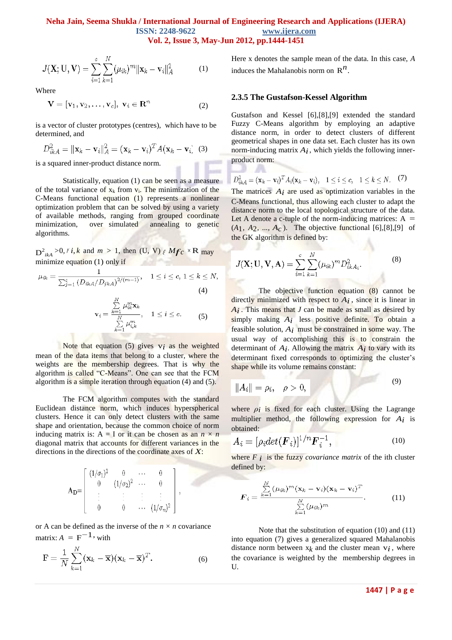$$
J(\mathbf{X}; \mathbf{U}, \mathbf{V}) = \sum_{i=1}^{c} \sum_{k=1}^{N} (\mu_{ik})^{m} ||\mathbf{x}_{k} - \mathbf{v}_{i}||_{A}^{2}
$$
 (1)

Where

$$
\mathbf{V} = [\mathbf{v}_1, \mathbf{v}_2, \dots, \mathbf{v}_c], \mathbf{v}_i \in \mathbf{R}^n \tag{2}
$$

is a vector of cluster prototypes (centres), which have to be determined, and

$$
D_{ikA}^2 = \|\mathbf{x}_k - \mathbf{v}_i\|_A^2 = (\mathbf{x}_k - \mathbf{v}_i)^T A (\mathbf{x}_k - \mathbf{v}_i)
$$
 (3)

is a squared inner-product distance norm.

Statistically, equation (1) can be seen as a measure of the total variance of  $x_k$  from  $v_i$ . The minimization of the C-Means functional equation (1) represents a nonlinear optimization problem that can be solved by using a variety of available methods, ranging from grouped coordinate minimization, over simulated annealing to genetic algorithms.

 $D^2_{ikA}$  >0,  $\ell$  *i*,  $k$  and  $m > 1$ , then (U, V)  $\epsilon$  *Mfc*  $\times$  R may minimize equation (1) only if

$$
\mu_{ik} = \frac{1}{\sum_{j=1}^{c} (D_{ikA} / D_{jkA})^{2/(m-1)}}, \quad 1 \leq i \leq c, \ 1 \leq k \leq N,
$$
\n
$$
\mathbf{v}_{i} = \frac{\sum_{k=1}^{N} \mu_{ik}^{m} \mathbf{x}_{k}}{\sum_{k=1}^{N} \mu_{ik}^{m}}, \quad 1 \leq i \leq c.
$$
\n
$$
(5)
$$

Note that equation  $(5)$  gives  $v_i$  as the weighted mean of the data items that belong to a cluster, where the weights are the membership degrees. That is why the algorithm is called "C-Means". One can see that the FCM algorithm is a simple iteration through equation (4) and (5).

The FCM algorithm computes with the standard Euclidean distance norm, which induces hyperspherical clusters. Hence it can only detect clusters with the same shape and orientation, because the common choice of norm inducing matrix is:  $A = I$  or it can be chosen as an  $n \times n$ diagonal matrix that accounts for different variances in the directions in the directions of the coordinate axes of *X*:

$$
\mathbf{A}_{\mathbf{D}} = \left[ \begin{array}{cccc} (1/\sigma_1)^2 & 0 & \cdots & 0 \\ 0 & (1/\sigma_2)^2 & \cdots & 0 \\ \vdots & \vdots & \vdots & \vdots \\ 0 & 0 & \cdots & (1/\sigma_n)^2 \end{array} \right],
$$

or A can be defined as the inverse of the  $n \times n$  covariance  $\text{matrix: } A = F^{-1}$ , with

$$
\mathbf{F} = \frac{1}{N} \sum_{k=1}^{N} (\mathbf{x}_k - \overline{\mathbf{x}}) (\mathbf{x}_k - \overline{\mathbf{x}})^T.
$$
 (6)

Here x denotes the sample mean of the data. In this case, *A* induces the Mahalanobis norm on  $\mathbb{R}^n$ .

#### **2.3.5 The Gustafson-Kessel Algorithm**

- 29

Gustafson and Kessel [6],[8],[9] extended the standard Fuzzy C-Means algorithm by employing an adaptive distance norm, in order to detect clusters of different geometrical shapes in one data set. Each cluster has its own norm-inducing matrix  $A_i$ , which yields the following innerproduct norm:

$$
D_{ikA}^2 = (\mathbf{x}_k - \mathbf{v}_i)^T A_i (\mathbf{x}_k - \mathbf{v}_i), \quad 1 \leq i \leq c, \quad 1 \leq k \leq N. \tag{7}
$$

The matrices  $A_i$  are used as optimization variables in the C-Means functional, thus allowing each cluster to adapt the distance norm to the local topological structure of the data. Let A denote a c-tuple of the norm-inducing matrices:  $A =$  $(A_1, A_2, ..., A_c)$ . The objective functional [6], [8], [9] of the GK algorithm is defined by:

$$
J(\mathbf{X}; \mathbf{U}, \mathbf{V}, \mathbf{A}) = \sum_{i=1}^{c} \sum_{k=1}^{N} (\mu_{ik})^{m} D_{ikA_{i}}^{2}.
$$
 (8)

The objective function equation (8) cannot be directly minimized with respect to *Ai* , since it is linear in *Ai* . This means that *J* can be made as small as desired by simply making  $A_i$  less positive definite. To obtain a feasible solution, *Ai* must be constrained in some way. The usual way of accomplishing this is to constrain the determinant of  $A_i$ . Allowing the matrix  $A_i$  to vary with its determinant fixed corresponds to optimizing the cluster's shape while its volume remains constant:

$$
||A_i|| = \rho_i, \quad \rho > 0,
$$
\n(9)

where  $\rho_i$  is fixed for each cluster. Using the Lagrange multiplier method, the following expression for *Ai* is obtained:

$$
A_i = [\rho_i det(\boldsymbol{F}_i)]^{1/n} \boldsymbol{F}_i^{-1}, \qquad (10)
$$

where  $F_i$  is the fuzzy *covariance matrix* of the ith cluster defined by:

$$
\boldsymbol{F}_i = \frac{\sum\limits_{k=1}^N (\mu_{ik})^m (\mathbf{x}_k - \mathbf{v}_i) (\mathbf{x}_k - \mathbf{v}_i)^T}{\sum\limits_{k=1}^N (\mu_{ik})^m}.
$$
 (11)

Note that the substitution of equation (10) and (11) into equation (7) gives a generalized squared Mahalanobis distance norm between  $x_k$  and the cluster mean  $v_i$ , where the covariance is weighted by the membership degrees in U.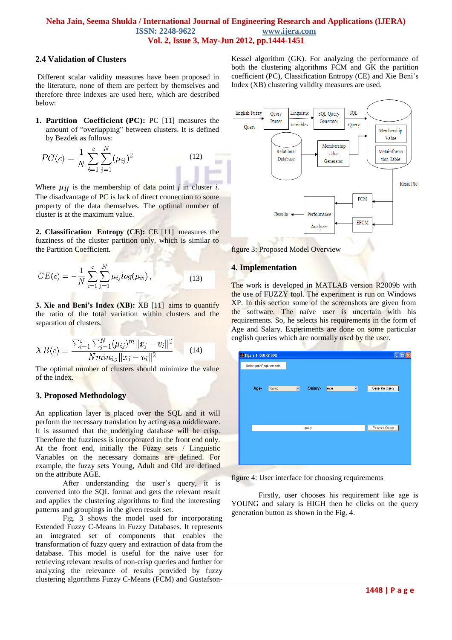#### **2.4 Validation of Clusters**

Different scalar validity measures have been proposed in the literature, none of them are perfect by themselves and therefore three indexes are used here, which are described below:

**1. Partition Coefficient (PC):** PC [11] measures the amount of "overlapping" between clusters. It is defined by Bezdek as follows:

$$
PC(c) = \frac{1}{N} \sum_{i=1}^{c} \sum_{j=1}^{N} (\mu_{ij})^2
$$
 (12)

Where  $\mu_{ij}$  is the membership of data point *j* in cluster *i*. The disadvantage of PC is lack of direct connection to some property of the data themselves. The optimal number of cluster is at the maximum value.

**2. Classification Entropy (CE):** CE [11] measures the fuzziness of the cluster partition only, which is similar to the Partition Coefficient.

$$
CE(c) = -\frac{1}{N} \sum_{i=1}^{c} \sum_{j=1}^{N} \mu_{ij} log(\mu_{ij}),
$$
\n(13)

**3. Xie and Beni's Index (XB):** XB [11] aims to quantify the ratio of the total variation within clusters and the separation of clusters.

$$
XB(c) = \frac{\sum_{i=1}^{c} \sum_{j=1}^{N} (\mu_{ij})^{m} ||x_j - v_i||^2}{N \min_{i,j} ||x_j - v_i||^2}
$$
 (14)

The optimal number of clusters should minimize the value of the index.

# **3. Proposed Methodology**

An application layer is placed over the SQL and it will perform the necessary translation by acting as a middleware. It is assumed that the underlying database will be crisp. Therefore the fuzziness is incorporated in the front end only. At the front end, initially the Fuzzy sets / Linguistic Variables on the necessary domains are defined. For example, the fuzzy sets Young, Adult and Old are defined on the attribute AGE.

After understanding the user's query, it is converted into the SQL format and gets the relevant result and applies the clustering algorithms to find the interesting patterns and groupings in the given result set.

Fig. 3 shows the model used for incorporating Extended Fuzzy C-Means in Fuzzy Databases. It represents an integrated set of components that enables the transformation of fuzzy query and extraction of data from the database. This model is useful for the naive user for retrieving relevant results of non-crisp queries and further for analyzing the relevance of results provided by fuzzy clustering algorithms Fuzzy C-Means (FCM) and Gustafson-

Kessel algorithm (GK). For analyzing the performance of both the clustering algorithms FCM and GK the partition coefficient (PC), Classification Entropy (CE) and Xie Beni"s Index (XB) clustering validity measures are used.



figure 3: Proposed Model Overview

# **4. Implementation**

The work is developed in MATLAB version R2009b with the use of FUZZY tool. The experiment is run on Windows XP. In this section some of the screenshots are given from the software. The naïve user is uncertain with his requirements. So, he selects his requirements in the form of Age and Salary. Experiments are done on some particular english queries which are normally used by the user.

|  | Figure 1: QUERY BOX |                          |   |         |      |              |                      |
|--|---------------------|--------------------------|---|---------|------|--------------|----------------------|
|  |                     | Select your Requirements |   |         |      |              |                      |
|  |                     |                          |   |         |      |              |                      |
|  | Age-                | YOUNG                    | × | Salary- | HIGH | $\checkmark$ | Generate Query       |
|  |                     |                          |   |         |      |              |                      |
|  |                     |                          |   |         |      |              |                      |
|  |                     |                          |   |         |      |              |                      |
|  |                     |                          |   | query   |      |              | <b>Execute Query</b> |
|  |                     |                          |   |         |      |              |                      |
|  |                     |                          |   |         |      |              |                      |
|  |                     |                          |   |         |      |              |                      |
|  |                     |                          |   |         |      |              |                      |

figure 4: User interface for choosing requirements

Firstly, user chooses his requirement like age is YOUNG and salary is HIGH then he clicks on the query generation button as shown in the Fig. 4.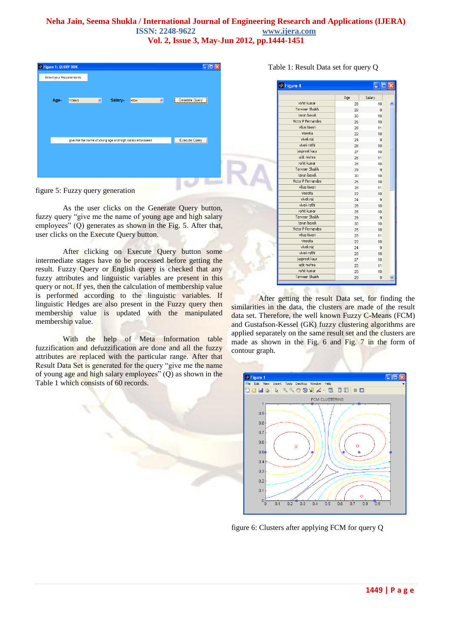| Figure 1: QUERY BOX      |              |   |         |                                                         |              |                |  |
|--------------------------|--------------|---|---------|---------------------------------------------------------|--------------|----------------|--|
| Select your Requirements |              |   |         |                                                         |              |                |  |
| Age-                     | <b>YOUNG</b> | v | Salary- | <b>HIGH</b>                                             | $\checkmark$ | Generate Query |  |
|                          |              |   |         |                                                         |              |                |  |
|                          |              |   |         |                                                         |              |                |  |
|                          |              |   |         |                                                         |              |                |  |
|                          |              |   |         | give me the name of young age and high salary employees |              | Execute Query  |  |
|                          |              |   |         |                                                         |              |                |  |
|                          |              |   |         |                                                         |              |                |  |
|                          |              |   |         |                                                         |              |                |  |
|                          |              |   |         |                                                         |              |                |  |

figure 5: Fuzzy query generation

As the user clicks on the Generate Query button, fuzzy query "give me the name of young age and high salary employees" (Q) generates as shown in the Fig. 5. After that, user clicks on the Execute Query button.

After clicking on Execute Query button some intermediate stages have to be processed before getting the result. Fuzzy Query or English query is checked that any fuzzy attributes and linguistic variables are present in this query or not. If yes, then the calculation of membership value is performed according to the linguistic variables. If linguistic Hedges are also present in the Fuzzy query then membership value is updated with the manipulated membership value.

With the help of Meta Information table fuzzification and defuzzification are done and all the fuzzy attributes are replaced with the particular range. After that Result Data Set is generated for the query "give me the name of young age and high salary employees" (Q) as shown in the Table 1 which consists of 60 records.

| Eigure 4           |     |        |
|--------------------|-----|--------|
|                    | Age | Salary |
| rohit kumar        | 28  | 10     |
| Tanveer Shaikh     | 29  | 9      |
| tarun basak        | 30  | 10     |
| Victor P Fernandes | 25  | 10     |
| vikas tiwari       | 28  | 11     |
| vineeta            | 22  | 10     |
| vivek raj          | 24  | 9      |
| vivek rathi        | 28  | 10     |
| jaspreet kaur      | 27  | 10     |
| udit mishra        | 25  | 11     |
| robit kumar        | 28  | 10     |
| Tanveer Shaikh     | 29  | 9      |
| tarun basak        | 30  | 10     |
| Victor P Fernandes | 25  | 10     |
| vikas tiwari       | 28  | 11     |
| vineeta            | 22  | 10     |
| vivek raj          | 24  | 9      |
| vivek rathi        | 28  | 10     |
| rohit kumar        | 28  | 10     |
| Tanveer Shaikh     | 29  | 9      |
| tarun basak        | 30  | 10     |
| Victor P Fernandes | 25  | 10     |
| vikas tiwari       | 28  | 11     |
| vineeta            | 22  | 10     |
| vivek raj          | 24  | 9      |
| vivek rathi        | 28  | 10     |
| jaspreet kaur      | 27  | 10     |
| udit mishra        | 25  | 11     |
| rohit kumar        | 28  | 10     |
| Tanveer Shaikh     | 29  | 9      |

After getting the result Data set, for finding the similarities in the data, the clusters are made of the result data set. Therefore, the well known Fuzzy C-Means (FCM) and Gustafson-Kessel (GK) fuzzy clustering algorithms are applied separately on the same result set and the clusters are made as shown in the Fig. 6 and Fig. 7 in the form of contour graph.

外名



figure 6: Clusters after applying FCM for query Q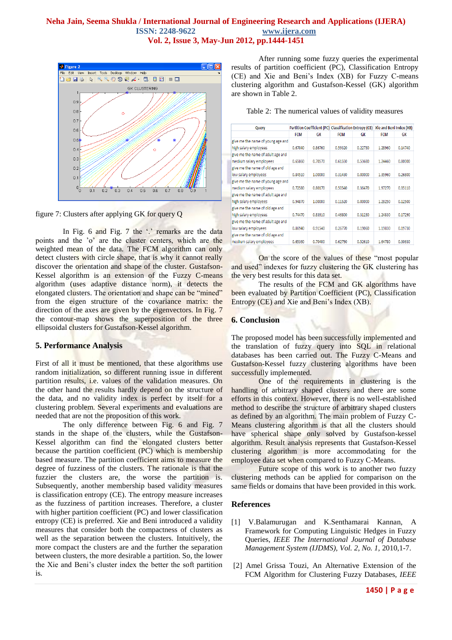

figure 7: Clusters after applying GK for query Q

In Fig. 6 and Fig. 7 the  $\cdot$  remarks are the data points and the "o" are the cluster centers, which are the weighted mean of the data. The FCM algorithm can only detect clusters with circle shape, that is why it cannot really discover the orientation and shape of the cluster. Gustafson-Kessel algorithm is an extension of the Fuzzy C-means algorithm (uses adaptive distance norm), it detects the elongated clusters. The orientation and shape can be "mined" from the eigen structure of the covariance matrix: the direction of the axes are given by the eigenvectors. In Fig. 7 the contour-map shows the superposition of the three ellipsoidal clusters for Gustafson-Kessel algorithm.

# **5. Performance Analysis**

First of all it must be mentioned, that these algorithms use random initialization, so different running issue in different partition results, i.e. values of the validation measures. On the other hand the results hardly depend on the structure of the data, and no validity index is perfect by itself for a clustering problem. Several experiments and evaluations are needed that are not the proposition of this work.

The only difference between Fig. 6 and Fig. 7 stands in the shape of the clusters, while the Gustafson-Kessel algorithm can find the elongated clusters better because the partition coefficient (PC) which is membership based measure. The partition coefficient aims to measure the degree of fuzziness of the clusters. The rationale is that the fuzzier the clusters are, the worse the partition is. Subsequently, another membership based validity measures is classification entropy (CE). The entropy measure increases as the fuzziness of partition increases. Therefore, a cluster with higher partition coefficient (PC) and lower classification entropy (CE) is preferred. Xie and Beni introduced a validity measures that consider both the compactness of clusters as well as the separation between the clusters. Intuitively, the more compact the clusters are and the further the separation between clusters, the more desirable a partition. So, the lower the Xie and Beni"s cluster index the better the soft partition is.

After running some fuzzy queries the experimental results of partition coefficient (PC), Classification Entropy (CE) and Xie and Beni"s Index (XB) for Fuzzy C-means clustering algorithm and Gustafson-Kessel (GK) algorithm are shown in Table 2.

|  |  | Table 2: The numerical values of validity measures |  |  |  |  |
|--|--|----------------------------------------------------|--|--|--|--|
|--|--|----------------------------------------------------|--|--|--|--|

| Query                             |            |         | Partition Coefficient (PC) Classification Entropy (CE) Xie and Beni Index (XB) |         |            |           |
|-----------------------------------|------------|---------|--------------------------------------------------------------------------------|---------|------------|-----------|
|                                   | <b>FCM</b> | GK      | <b>FCM</b>                                                                     | GK      | <b>FCM</b> | <b>GK</b> |
| give me the name of young age and |            |         |                                                                                |         |            |           |
| high salary employees             | 0.67040    | 0.86760 | 0.59320                                                                        | 0.22730 | 1.28960    | 0.14740   |
| give me the name of adult age and |            |         |                                                                                |         |            |           |
| medium salary employees           | 0.65860    | 0.70570 | 0.61550                                                                        | 0.53680 | 1.24460    | 0.80000   |
| give me the name of old age and   |            |         |                                                                                |         |            |           |
| low salary employees              | 0.84510    | 1.00000 | 0.31430                                                                        | 0.00000 | 1.35960    | 0.26800   |
| give me the name of young age and |            |         |                                                                                |         |            |           |
| medium salary employees           | 0.72580    | 0.80170 | 0.50540                                                                        | 0.36470 | 1.97270    | 0.35110   |
| give me the name of adult age and |            |         |                                                                                |         |            |           |
| high salary employees             | 0.94870    | 1.00000 | 0.11520                                                                        | 0.00000 | 1.28250    | 0.12500   |
| give me the name of old age and   |            |         |                                                                                |         |            |           |
| high salary employees             | 0.74470    | 0.83910 | 0.46800                                                                        | 0.31230 | 1,24830    | 0.17290   |
| give me the name of adult age and |            |         |                                                                                |         |            |           |
| low salary employees              | 0.86940    | 0.91540 | 0.26770                                                                        | 0.19060 | 1.19830    | 0.19730   |
| give me the name of old age and   |            |         |                                                                                |         |            |           |
| medium salary employees           | 0.65360    | 0.70400 | 0.62790                                                                        | 0.52610 | 1.64780    | 0.30630   |

On the score of the values of these "most popular and used" indexes for fuzzy clustering the GK clustering has the very best results for this data set.

The results of the FCM and GK algorithms have been evaluated by Partition Coefficient (PC), Classification Entropy (CE) and Xie and Beni's Index (XB).

#### **6. Conclusion**

The proposed model has been successfully implemented and the translation of fuzzy query into SQL in relational databases has been carried out. The Fuzzy C-Means and Gustafson-Kessel fuzzy clustering algorithms have been successfully implemented.

One of the requirements in clustering is the handling of arbitrary shaped clusters and there are some efforts in this context. However, there is no well-established method to describe the structure of arbitrary shaped clusters as defined by an algorithm. The main problem of Fuzzy C-Means clustering algorithm is that all the clusters should have spherical shape only solved by Gustafson-kessel algorithm. Result analysis represents that Gustafson-Kessel clustering algorithm is more accommodating for the employee data set when compared to Fuzzy C-Means.

Future scope of this work is to another two fuzzy clustering methods can be applied for comparison on the same fields or domains that have been provided in this work.

#### **References**

- [1] V.Balamurugan and K.Senthamarai Kannan, A Framework for Computing Linguistic Hedges in Fuzzy Queries, *IEEE The International Journal of Database Management System (IJDMS), Vol. 2, No. 1,* 2010,1-7.
- [2] Amel Grissa Touzi, An Alternative Extension of the FCM Algorithm for Clustering Fuzzy Databases, *IEEE*